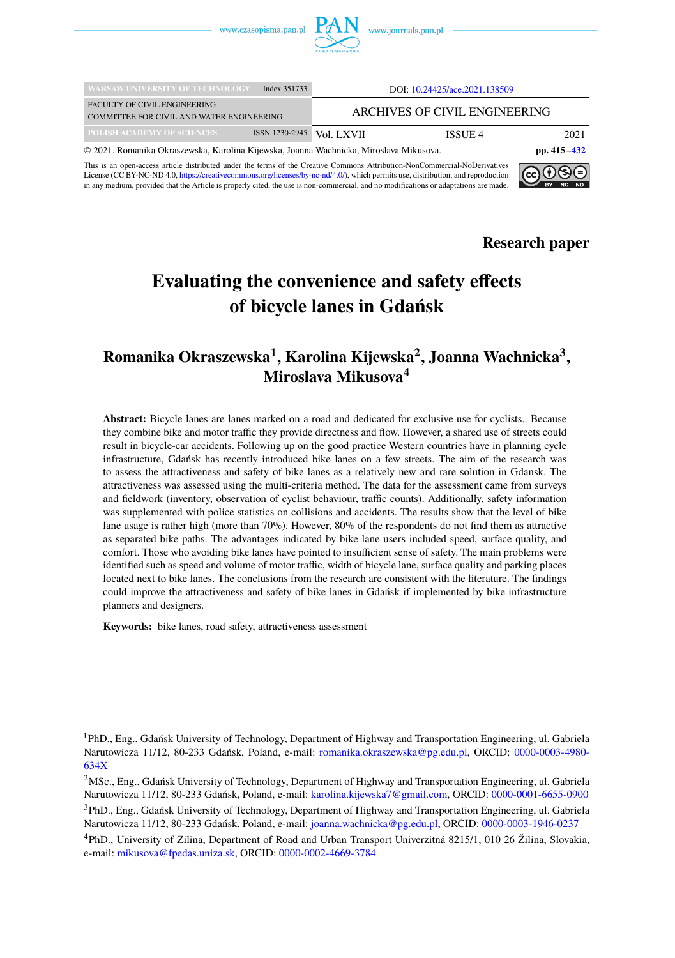

| <b>WARSAW UNIVERSITY OF TECHNOLOGY</b>                                                                    | Index 351733   | DOI: 10.24425/ace.2021.138509 |         |      |  |
|-----------------------------------------------------------------------------------------------------------|----------------|-------------------------------|---------|------|--|
| <b>FACULTY OF CIVIL ENGINEERING</b><br>COMMITTEE FOR CIVIL AND WATER ENGINEERING                          |                | ARCHIVES OF CIVIL ENGINEERING |         |      |  |
| POLISH ACADEMY OF SCIENCES                                                                                | ISSN 1230-2945 | Vol. LXVII                    | ISSUE 4 | 2021 |  |
| © 2021. Romanika Okraszewska, Karolina Kijewska, Joanna Wachnicka, Miroslava Mikusova.<br>pp. $415 - 432$ |                |                               |         |      |  |

This is an open-access article distributed under the terms of the Creative Commons Attribution-NonCommercial-NoDerivatives License (CC BY-NC-ND 4.0, [https://creativecommons.org/licenses/by-nc-nd/4.0/\)](https://creativecommons.org/licenses/by-nc-nd/4.0/), which permits use, distribution, and reproduction in any medium, provided that the Article is properly cited, the use is non-commercial, and no modifications or adaptations are made.



**Research paper**

# **Evaluating the convenience and safety effects of bicycle lanes in Gdańsk**

# **Romanika Okraszewska<sup>1</sup> , Karolina Kijewska<sup>2</sup> , Joanna Wachnicka<sup>3</sup> , Miroslava Mikusova<sup>4</sup>**

**Abstract:** Bicycle lanes are lanes marked on a road and dedicated for exclusive use for cyclists.. Because they combine bike and motor traffic they provide directness and flow. However, a shared use of streets could result in bicycle-car accidents. Following up on the good practice Western countries have in planning cycle infrastructure, Gdańsk has recently introduced bike lanes on a few streets. The aim of the research was to assess the attractiveness and safety of bike lanes as a relatively new and rare solution in Gdansk. The attractiveness was assessed using the multi-criteria method. The data for the assessment came from surveys and fieldwork (inventory, observation of cyclist behaviour, traffic counts). Additionally, safety information was supplemented with police statistics on collisions and accidents. The results show that the level of bike lane usage is rather high (more than 70%). However, 80% of the respondents do not find them as attractive as separated bike paths. The advantages indicated by bike lane users included speed, surface quality, and comfort. Those who avoiding bike lanes have pointed to insufficient sense of safety. The main problems were identified such as speed and volume of motor traffic, width of bicycle lane, surface quality and parking places located next to bike lanes. The conclusions from the research are consistent with the literature. The findings could improve the attractiveness and safety of bike lanes in Gdańsk if implemented by bike infrastructure planners and designers.

**Keywords:** bike lanes, road safety, attractiveness assessment

<sup>&</sup>lt;sup>1</sup>PhD., Eng., Gdańsk University of Technology, Department of Highway and Transportation Engineering, ul. Gabriela Narutowicza 11/12, 80-233 Gdańsk, Poland, e-mail: [romanika.okraszewska@pg.edu.pl,](mailto:romanika.okraszewska@pg.edu.pl) ORCID: [0000-0003-4980-](https://orcid.org/0000-0003-4980-634X) [634X](https://orcid.org/0000-0003-4980-634X)

<sup>2</sup>MSc., Eng., Gdańsk University of Technology, Department of Highway and Transportation Engineering, ul. Gabriela Narutowicza 11/12, 80-233 Gdańsk, Poland, e-mail: [karolina.kijewska7@gmail.com,](mailto:karolina.kijewska7@gmail.com) ORCID: [0000-0001-6655-0900](https://orcid.org/0000-0001-6655-0900)

<sup>&</sup>lt;sup>3</sup>PhD., Eng., Gdańsk University of Technology, Department of Highway and Transportation Engineering, ul. Gabriela Narutowicza 11/12, 80-233 Gdańsk, Poland, e-mail: [joanna.wachnicka@pg.edu.pl,](mailto:joanna.wachnicka@pg.edu.pl) ORCID: [0000-0003-1946-0237](https://orcid.org/0000-0003-1946-0237)

<sup>4</sup>PhD., University of Zilina, Department of Road and Urban Transport Univerzitná 8215/1, 010 26 Žilina, Slovakia, e-mail: [mikusova@fpedas.uniza.sk,](mailto:mikusova@fpedas.uniza.sk) ORCID: [0000-0002-4669-3784](https://orcid.org/0000-0002-4669-3784)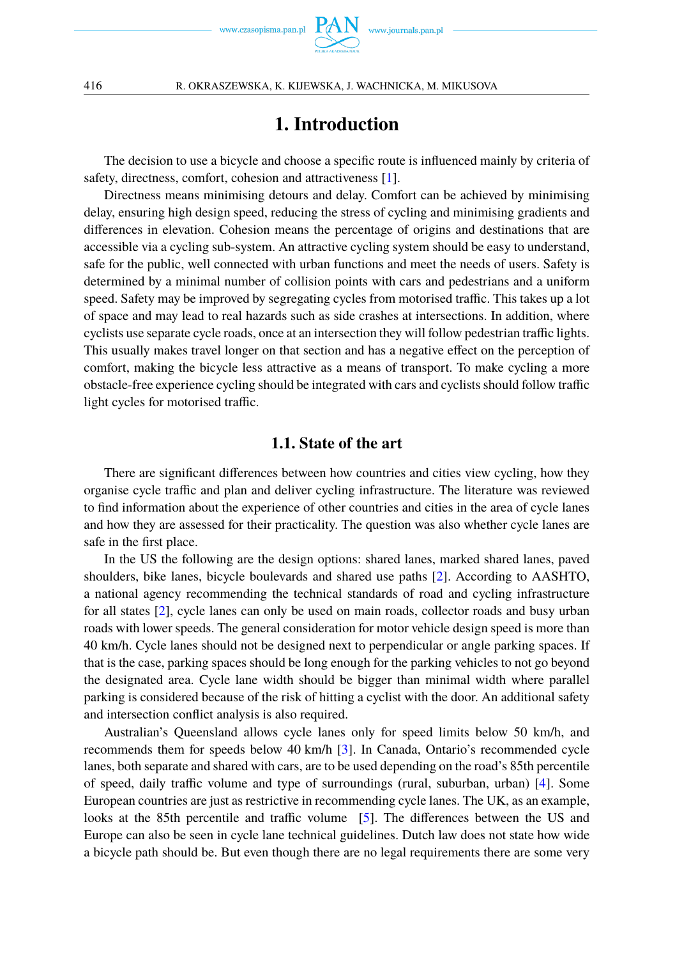

# **1. Introduction**

<span id="page-1-0"></span>The decision to use a bicycle and choose a specific route is influenced mainly by criteria of safety, directness, comfort, cohesion and attractiveness [\[1\]](#page-15-0).

Directness means minimising detours and delay. Comfort can be achieved by minimising delay, ensuring high design speed, reducing the stress of cycling and minimising gradients and differences in elevation. Cohesion means the percentage of origins and destinations that are accessible via a cycling sub-system. An attractive cycling system should be easy to understand, safe for the public, well connected with urban functions and meet the needs of users. Safety is determined by a minimal number of collision points with cars and pedestrians and a uniform speed. Safety may be improved by segregating cycles from motorised traffic. This takes up a lot of space and may lead to real hazards such as side crashes at intersections. In addition, where cyclists use separate cycle roads, once at an intersection they will follow pedestrian traffic lights. This usually makes travel longer on that section and has a negative effect on the perception of comfort, making the bicycle less attractive as a means of transport. To make cycling a more obstacle-free experience cycling should be integrated with cars and cyclists should follow traffic light cycles for motorised traffic.

### **1.1. State of the art**

There are significant differences between how countries and cities view cycling, how they organise cycle traffic and plan and deliver cycling infrastructure. The literature was reviewed to find information about the experience of other countries and cities in the area of cycle lanes and how they are assessed for their practicality. The question was also whether cycle lanes are safe in the first place.

In the US the following are the design options: shared lanes, marked shared lanes, paved shoulders, bike lanes, bicycle boulevards and shared use paths [\[2\]](#page-15-1). According to AASHTO, a national agency recommending the technical standards of road and cycling infrastructure for all states [\[2\]](#page-15-1), cycle lanes can only be used on main roads, collector roads and busy urban roads with lower speeds. The general consideration for motor vehicle design speed is more than 40 km/h. Cycle lanes should not be designed next to perpendicular or angle parking spaces. If that is the case, parking spaces should be long enough for the parking vehicles to not go beyond the designated area. Cycle lane width should be bigger than minimal width where parallel parking is considered because of the risk of hitting a cyclist with the door. An additional safety and intersection conflict analysis is also required.

Australian's Queensland allows cycle lanes only for speed limits below 50 km/h, and recommends them for speeds below 40 km/h [\[3\]](#page-15-2). In Canada, Ontario's recommended cycle lanes, both separate and shared with cars, are to be used depending on the road's 85th percentile of speed, daily traffic volume and type of surroundings (rural, suburban, urban) [\[4\]](#page-15-3). Some European countries are just as restrictive in recommending cycle lanes. The UK, as an example, looks at the 85th percentile and traffic volume [\[5\]](#page-15-4). The differences between the US and Europe can also be seen in cycle lane technical guidelines. Dutch law does not state how wide a bicycle path should be. But even though there are no legal requirements there are some very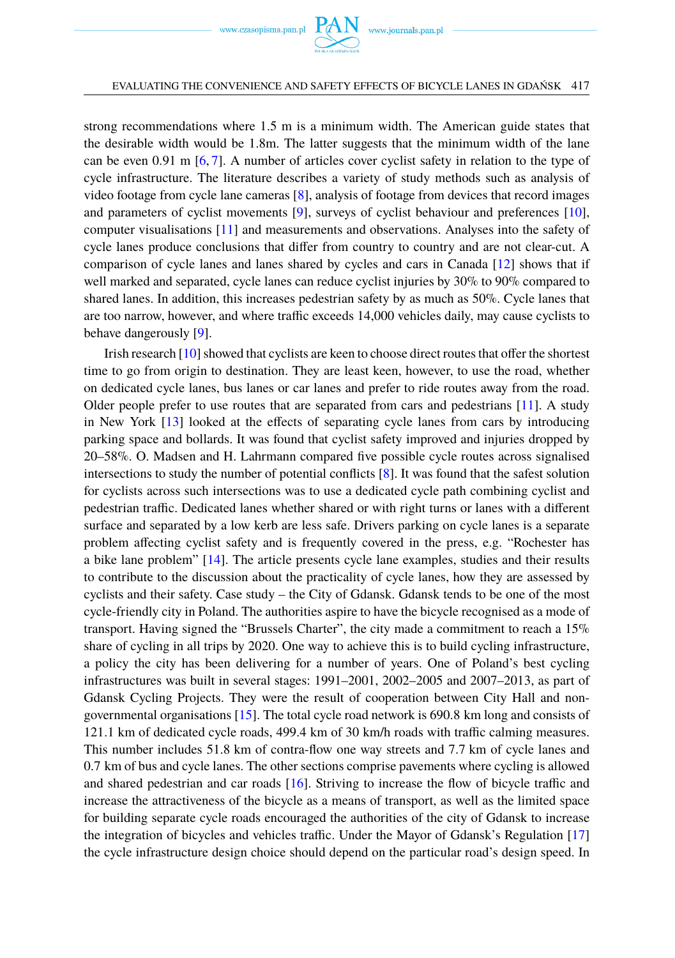www.czasopisma.pan.pl  $P_{\ell}$ 

strong recommendations where 1.5 m is a minimum width. The American guide states that the desirable width would be 1.8m. The latter suggests that the minimum width of the lane can be even 0.91 m [\[6,](#page-15-5) [7\]](#page-15-6). A number of articles cover cyclist safety in relation to the type of cycle infrastructure. The literature describes a variety of study methods such as analysis of video footage from cycle lane cameras [\[8\]](#page-16-1), analysis of footage from devices that record images and parameters of cyclist movements [\[9\]](#page-16-2), surveys of cyclist behaviour and preferences [\[10\]](#page-16-3), computer visualisations [\[11\]](#page-16-4) and measurements and observations. Analyses into the safety of cycle lanes produce conclusions that differ from country to country and are not clear-cut. A comparison of cycle lanes and lanes shared by cycles and cars in Canada [\[12\]](#page-16-5) shows that if well marked and separated, cycle lanes can reduce cyclist injuries by 30% to 90% compared to shared lanes. In addition, this increases pedestrian safety by as much as 50%. Cycle lanes that are too narrow, however, and where traffic exceeds 14,000 vehicles daily, may cause cyclists to behave dangerously [\[9\]](#page-16-2).

Irish research [\[10\]](#page-16-3) showed that cyclists are keen to choose direct routes that offer the shortest time to go from origin to destination. They are least keen, however, to use the road, whether on dedicated cycle lanes, bus lanes or car lanes and prefer to ride routes away from the road. Older people prefer to use routes that are separated from cars and pedestrians [\[11\]](#page-16-4). A study in New York [\[13\]](#page-16-6) looked at the effects of separating cycle lanes from cars by introducing parking space and bollards. It was found that cyclist safety improved and injuries dropped by 20–58%. O. Madsen and H. Lahrmann compared five possible cycle routes across signalised intersections to study the number of potential conflicts [\[8\]](#page-16-1). It was found that the safest solution for cyclists across such intersections was to use a dedicated cycle path combining cyclist and pedestrian traffic. Dedicated lanes whether shared or with right turns or lanes with a different surface and separated by a low kerb are less safe. Drivers parking on cycle lanes is a separate problem affecting cyclist safety and is frequently covered in the press, e.g. "Rochester has a bike lane problem" [\[14\]](#page-16-7). The article presents cycle lane examples, studies and their results to contribute to the discussion about the practicality of cycle lanes, how they are assessed by cyclists and their safety. Case study – the City of Gdansk. Gdansk tends to be one of the most cycle-friendly city in Poland. The authorities aspire to have the bicycle recognised as a mode of transport. Having signed the "Brussels Charter", the city made a commitment to reach a 15% share of cycling in all trips by 2020. One way to achieve this is to build cycling infrastructure, a policy the city has been delivering for a number of years. One of Poland's best cycling infrastructures was built in several stages: 1991–2001, 2002–2005 and 2007–2013, as part of Gdansk Cycling Projects. They were the result of cooperation between City Hall and nongovernmental organisations [\[15\]](#page-16-8). The total cycle road network is 690.8 km long and consists of 121.1 km of dedicated cycle roads, 499.4 km of 30 km/h roads with traffic calming measures. This number includes 51.8 km of contra-flow one way streets and 7.7 km of cycle lanes and 0.7 km of bus and cycle lanes. The other sections comprise pavements where cycling is allowed and shared pedestrian and car roads [\[16\]](#page-16-9). Striving to increase the flow of bicycle traffic and increase the attractiveness of the bicycle as a means of transport, as well as the limited space for building separate cycle roads encouraged the authorities of the city of Gdansk to increase the integration of bicycles and vehicles traffic. Under the Mayor of Gdansk's Regulation [\[17\]](#page-16-10) the cycle infrastructure design choice should depend on the particular road's design speed. In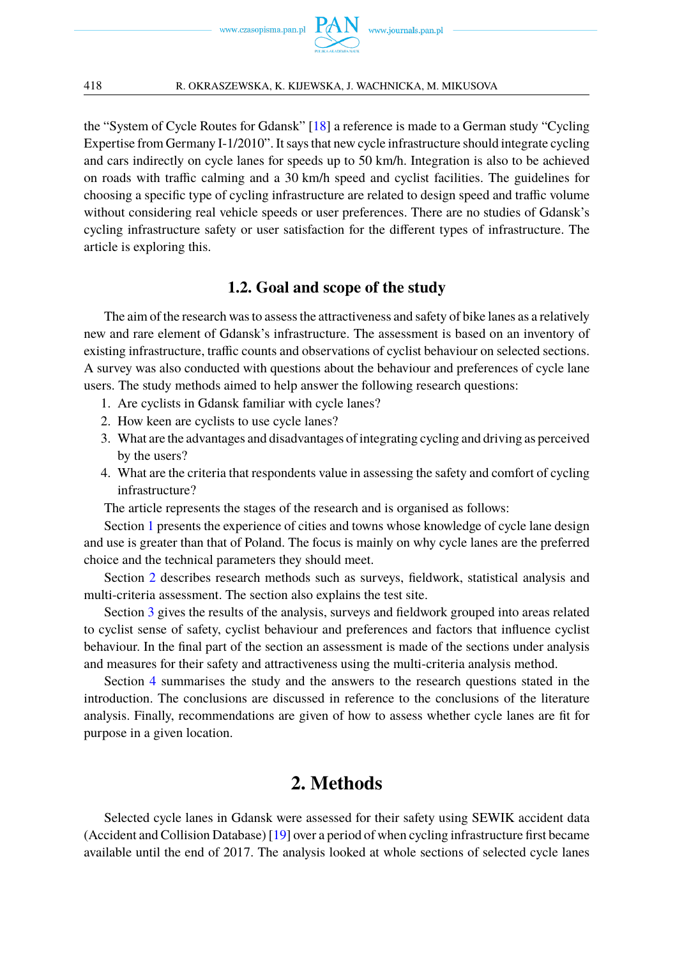

the "System of Cycle Routes for Gdansk" [\[18\]](#page-16-11) a reference is made to a German study "Cycling Expertise from Germany I-1/2010". It says that new cycle infrastructure should integrate cycling and cars indirectly on cycle lanes for speeds up to 50 km/h. Integration is also to be achieved on roads with traffic calming and a 30 km/h speed and cyclist facilities. The guidelines for choosing a specific type of cycling infrastructure are related to design speed and traffic volume without considering real vehicle speeds or user preferences. There are no studies of Gdansk's cycling infrastructure safety or user satisfaction for the different types of infrastructure. The article is exploring this.

### **1.2. Goal and scope of the study**

The aim of the research was to assess the attractiveness and safety of bike lanes as a relatively new and rare element of Gdansk's infrastructure. The assessment is based on an inventory of existing infrastructure, traffic counts and observations of cyclist behaviour on selected sections. A survey was also conducted with questions about the behaviour and preferences of cycle lane users. The study methods aimed to help answer the following research questions:

- 1. Are cyclists in Gdansk familiar with cycle lanes?
- 2. How keen are cyclists to use cycle lanes?
- 3. What are the advantages and disadvantages of integrating cycling and driving as perceived by the users?
- 4. What are the criteria that respondents value in assessing the safety and comfort of cycling infrastructure?

The article represents the stages of the research and is organised as follows:

Section [1](#page-1-0) presents the experience of cities and towns whose knowledge of cycle lane design and use is greater than that of Poland. The focus is mainly on why cycle lanes are the preferred choice and the technical parameters they should meet.

Section [2](#page-3-0) describes research methods such as surveys, fieldwork, statistical analysis and multi-criteria assessment. The section also explains the test site.

Section [3](#page-5-0) gives the results of the analysis, surveys and fieldwork grouped into areas related to cyclist sense of safety, cyclist behaviour and preferences and factors that influence cyclist behaviour. In the final part of the section an assessment is made of the sections under analysis and measures for their safety and attractiveness using the multi-criteria analysis method.

Section [4](#page-14-0) summarises the study and the answers to the research questions stated in the introduction. The conclusions are discussed in reference to the conclusions of the literature analysis. Finally, recommendations are given of how to assess whether cycle lanes are fit for purpose in a given location.

## **2. Methods**

<span id="page-3-0"></span>Selected cycle lanes in Gdansk were assessed for their safety using SEWIK accident data (Accident and Collision Database) [\[19\]](#page-16-12) over a period of when cycling infrastructure first became available until the end of 2017. The analysis looked at whole sections of selected cycle lanes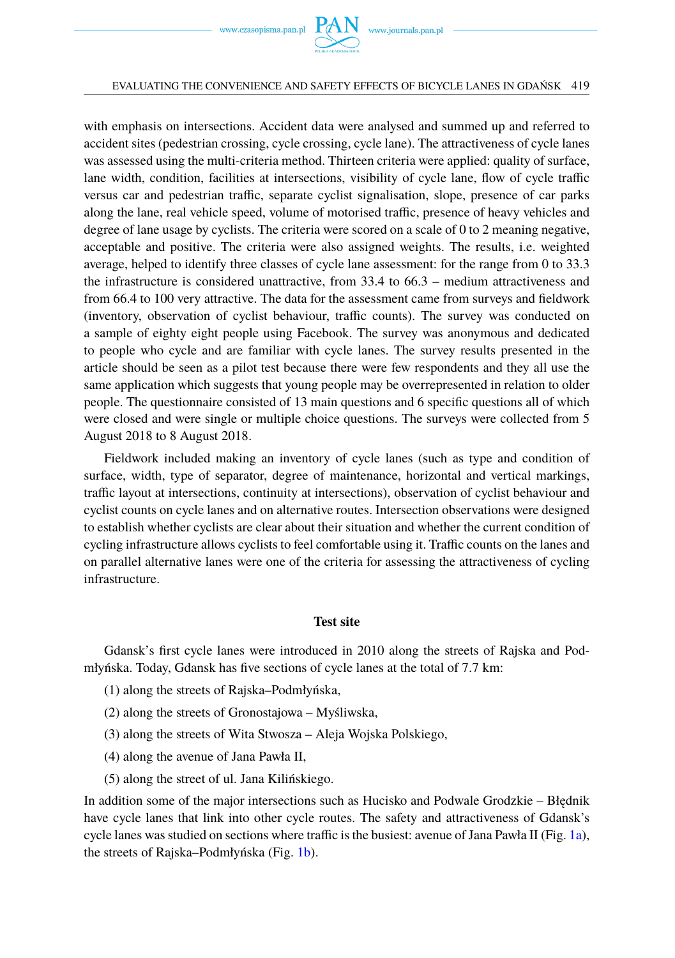#### EVALUATING THE CONVENIENCE AND SAFETY EFFECTS OF BICYCLE LANES IN GDAŃSK 419

with emphasis on intersections. Accident data were analysed and summed up and referred to accident sites (pedestrian crossing, cycle crossing, cycle lane). The attractiveness of cycle lanes was assessed using the multi-criteria method. Thirteen criteria were applied: quality of surface, lane width, condition, facilities at intersections, visibility of cycle lane, flow of cycle traffic versus car and pedestrian traffic, separate cyclist signalisation, slope, presence of car parks along the lane, real vehicle speed, volume of motorised traffic, presence of heavy vehicles and degree of lane usage by cyclists. The criteria were scored on a scale of 0 to 2 meaning negative, acceptable and positive. The criteria were also assigned weights. The results, i.e. weighted average, helped to identify three classes of cycle lane assessment: for the range from 0 to 33.3 the infrastructure is considered unattractive, from 33.4 to 66.3 – medium attractiveness and from 66.4 to 100 very attractive. The data for the assessment came from surveys and fieldwork (inventory, observation of cyclist behaviour, traffic counts). The survey was conducted on a sample of eighty eight people using Facebook. The survey was anonymous and dedicated to people who cycle and are familiar with cycle lanes. The survey results presented in the article should be seen as a pilot test because there were few respondents and they all use the same application which suggests that young people may be overrepresented in relation to older people. The questionnaire consisted of 13 main questions and 6 specific questions all of which were closed and were single or multiple choice questions. The surveys were collected from 5 August 2018 to 8 August 2018.

Fieldwork included making an inventory of cycle lanes (such as type and condition of surface, width, type of separator, degree of maintenance, horizontal and vertical markings, traffic layout at intersections, continuity at intersections), observation of cyclist behaviour and cyclist counts on cycle lanes and on alternative routes. Intersection observations were designed to establish whether cyclists are clear about their situation and whether the current condition of cycling infrastructure allows cyclists to feel comfortable using it. Traffic counts on the lanes and on parallel alternative lanes were one of the criteria for assessing the attractiveness of cycling infrastructure.

### **Test site**

Gdansk's first cycle lanes were introduced in 2010 along the streets of Rajska and Podmłyńska. Today, Gdansk has five sections of cycle lanes at the total of 7.7 km:

- (1) along the streets of Rajska–Podmłyńska,
- (2) along the streets of Gronostajowa Myśliwska,
- (3) along the streets of Wita Stwosza Aleja Wojska Polskiego,
- (4) along the avenue of Jana Pawła II,
- (5) along the street of ul. Jana Kilińskiego.

In addition some of the major intersections such as Hucisko and Podwale Grodzkie – Błędnik have cycle lanes that link into other cycle routes. The safety and attractiveness of Gdansk's cycle lanes was studied on sections where traffic is the busiest: avenue of Jana Pawła II (Fig. [1a\)](#page-5-1), the streets of Rajska–Podmłyńska (Fig. [1b\)](#page-5-1).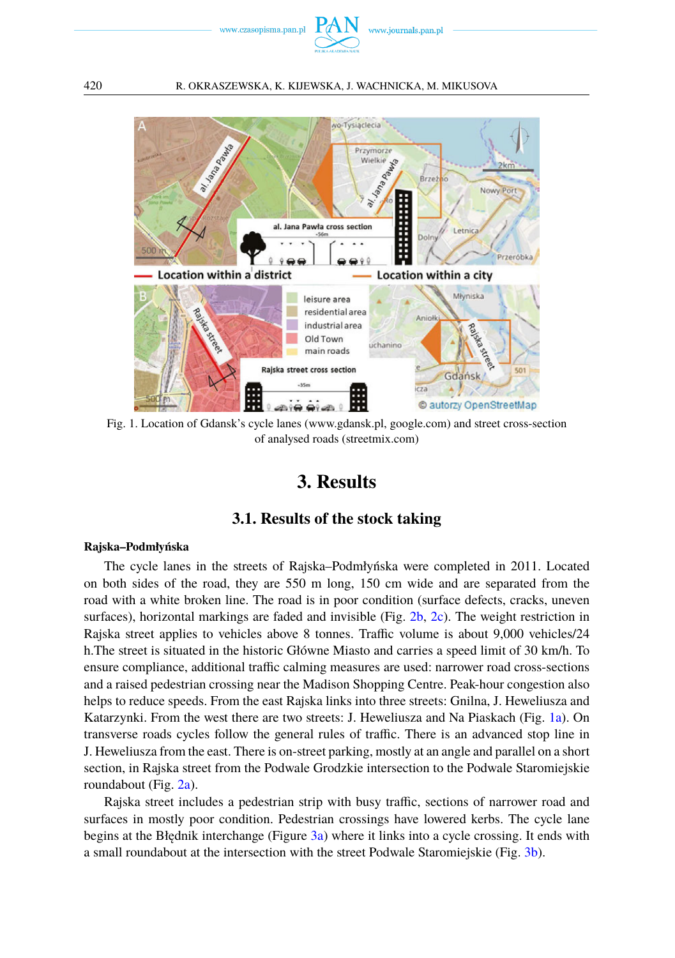



<span id="page-5-0"></span>Fig. 1. Location of Gdansk's cycle lanes (www.gdansk.pl, google.com) and street cross-section of analysed roads (streetmix.com)

# **3. Results**

### **3.1. Results of the stock taking**

### **Rajska–Podmłyńska**

The cycle lanes in the streets of Rajska–Podmłyńska were completed in 2011. Located on both sides of the road, they are 550 m long, 150 cm wide and are separated from the road with a white broken line. The road is in poor condition (surface defects, cracks, uneven surfaces), horizontal markings are faded and invisible (Fig. [2b,](#page-6-0) [2c\)](#page-6-0). The weight restriction in Rajska street applies to vehicles above 8 tonnes. Traffic volume is about 9,000 vehicles/24 h.The street is situated in the historic Główne Miasto and carries a speed limit of 30 km/h. To ensure compliance, additional traffic calming measures are used: narrower road cross-sections and a raised pedestrian crossing near the Madison Shopping Centre. Peak-hour congestion also helps to reduce speeds. From the east Rajska links into three streets: Gnilna, J. Heweliusza and Katarzynki. From the west there are two streets: J. Heweliusza and Na Piaskach (Fig. [1a\)](#page-5-1). On transverse roads cycles follow the general rules of traffic. There is an advanced stop line in J. Heweliusza from the east. There is on-street parking, mostly at an angle and parallel on a short section, in Rajska street from the Podwale Grodzkie intersection to the Podwale Staromiejskie roundabout (Fig. [2a\)](#page-6-0).

Rajska street includes a pedestrian strip with busy traffic, sections of narrower road and surfaces in mostly poor condition. Pedestrian crossings have lowered kerbs. The cycle lane begins at the Błędnik interchange (Figure  $3a$ ) where it links into a cycle crossing. It ends with a small roundabout at the intersection with the street Podwale Staromiejskie (Fig. [3b\)](#page-6-1).

<span id="page-5-1"></span>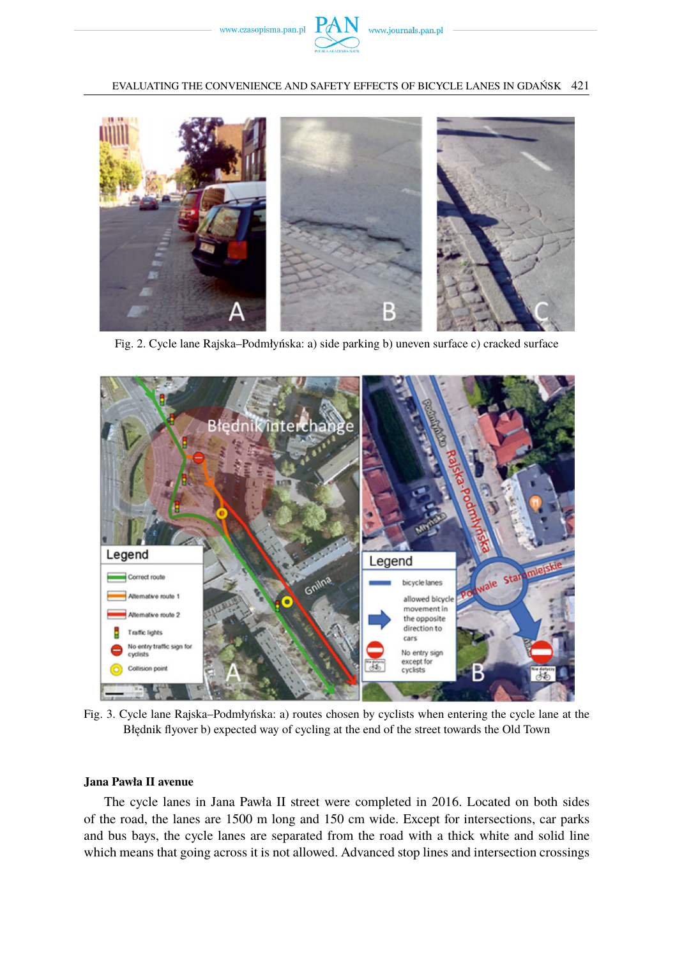

EVALUATING THE CONVENIENCE AND SAFETY EFFECTS OF BICYCLE LANES IN GDAŃSK 421

<span id="page-6-0"></span>

Fig. 2. Cycle lane Rajska–Podmłyńska: a) side parking b) uneven surface c) cracked surface

<span id="page-6-1"></span>

Fig. 3. Cycle lane Rajska–Podmłyńska: a) routes chosen by cyclists when entering the cycle lane at the Błędnik flyover b) expected way of cycling at the end of the street towards the Old Town

### **Jana Pawła II avenue**

The cycle lanes in Jana Pawła II street were completed in 2016. Located on both sides of the road, the lanes are 1500 m long and 150 cm wide. Except for intersections, car parks and bus bays, the cycle lanes are separated from the road with a thick white and solid line which means that going across it is not allowed. Advanced stop lines and intersection crossings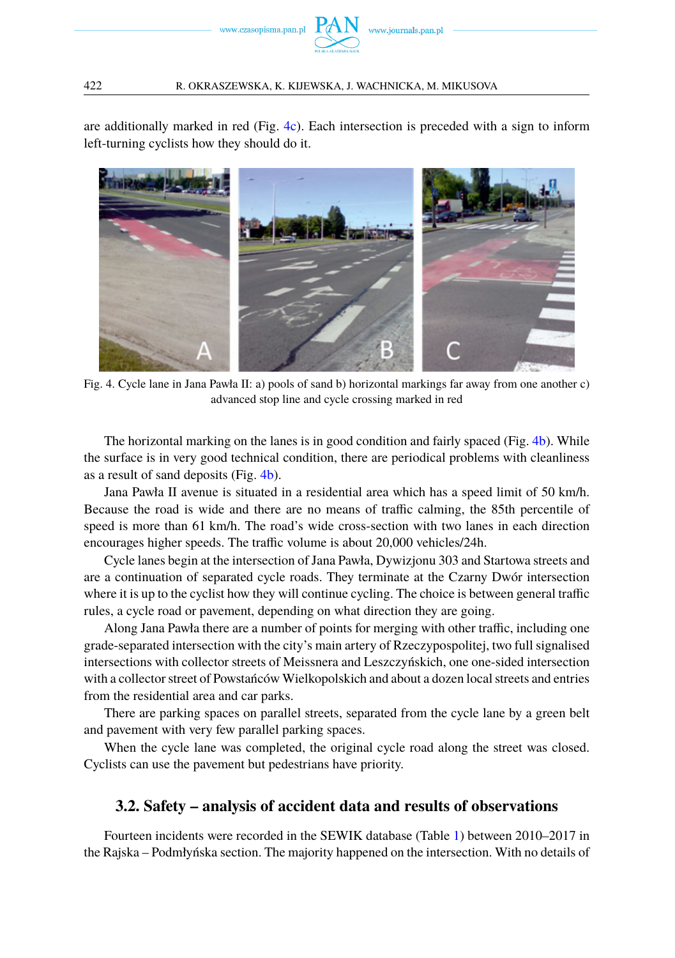

are additionally marked in red (Fig. [4c\)](#page-7-0). Each intersection is preceded with a sign to inform left-turning cyclists how they should do it.

<span id="page-7-0"></span>

Fig. 4. Cycle lane in Jana Pawła II: a) pools of sand b) horizontal markings far away from one another c) advanced stop line and cycle crossing marked in red

The horizontal marking on the lanes is in good condition and fairly spaced (Fig. [4b\)](#page-7-0). While the surface is in very good technical condition, there are periodical problems with cleanliness as a result of sand deposits (Fig. [4b\)](#page-7-0).

Jana Pawła II avenue is situated in a residential area which has a speed limit of 50 km/h. Because the road is wide and there are no means of traffic calming, the 85th percentile of speed is more than 61 km/h. The road's wide cross-section with two lanes in each direction encourages higher speeds. The traffic volume is about 20,000 vehicles/24h.

Cycle lanes begin at the intersection of Jana Pawła, Dywizjonu 303 and Startowa streets and are a continuation of separated cycle roads. They terminate at the Czarny Dwór intersection where it is up to the cyclist how they will continue cycling. The choice is between general traffic rules, a cycle road or pavement, depending on what direction they are going.

Along Jana Pawła there are a number of points for merging with other traffic, including one grade-separated intersection with the city's main artery of Rzeczypospolitej, two full signalised intersections with collector streets of Meissnera and Leszczyńskich, one one-sided intersection with a collector street of Powstańców Wielkopolskich and about a dozen local streets and entries from the residential area and car parks.

There are parking spaces on parallel streets, separated from the cycle lane by a green belt and pavement with very few parallel parking spaces.

When the cycle lane was completed, the original cycle road along the street was closed. Cyclists can use the pavement but pedestrians have priority.

### **3.2. Safety – analysis of accident data and results of observations**

Fourteen incidents were recorded in the SEWIK database (Table [1\)](#page-8-0) between 2010–2017 in the Rajska – Podmłyńska section. The majority happened on the intersection. With no details of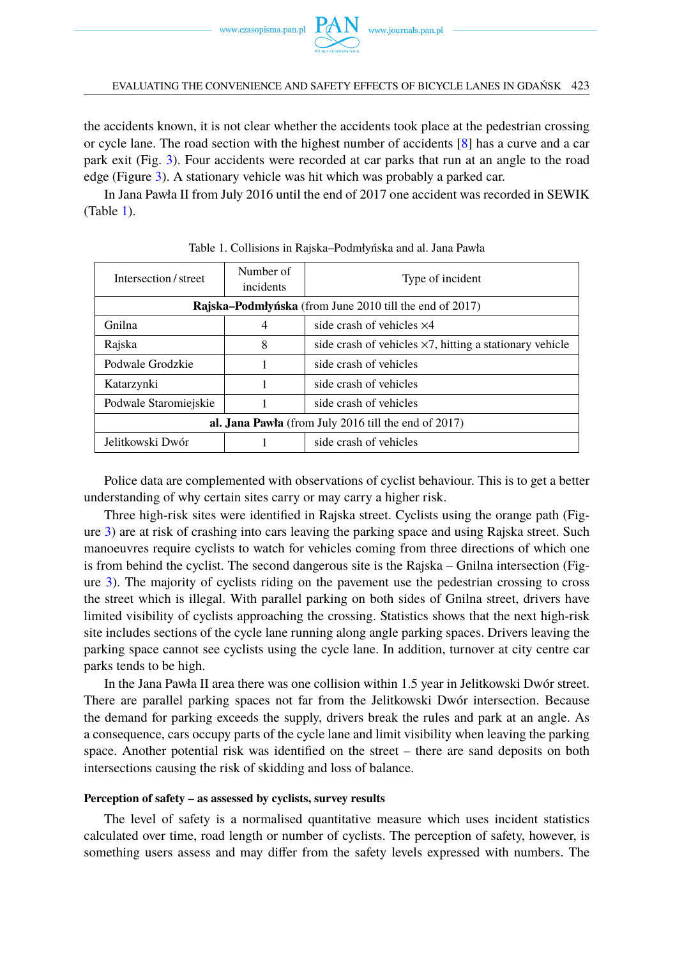www.czasopisma.pan.pl  $P_{\ell}$ 

the accidents known, it is not clear whether the accidents took place at the pedestrian crossing or cycle lane. The road section with the highest number of accidents [\[8\]](#page-16-1) has a curve and a car park exit (Fig. [3\)](#page-6-1). Four accidents were recorded at car parks that run at an angle to the road edge (Figure [3\)](#page-6-1). A stationary vehicle was hit which was probably a parked car.

In Jana Pawła II from July 2016 until the end of 2017 one accident was recorded in SEWIK (Table [1\)](#page-8-0).

<span id="page-8-0"></span>

| Intersection/street                                            | Number of<br>incidents | Type of incident                                                |  |  |  |
|----------------------------------------------------------------|------------------------|-----------------------------------------------------------------|--|--|--|
| <b>Rajska–Podmłyńska</b> (from June 2010 till the end of 2017) |                        |                                                                 |  |  |  |
| Gnilna                                                         | 4                      | side crash of vehicles $\times$ 4                               |  |  |  |
| Rajska                                                         | 8                      | side crash of vehicles $\times$ 7, hitting a stationary vehicle |  |  |  |
| Podwale Grodzkie                                               |                        | side crash of vehicles                                          |  |  |  |
| Katarzynki                                                     |                        | side crash of vehicles                                          |  |  |  |
| Podwale Staromiejskie                                          |                        | side crash of vehicles                                          |  |  |  |
| al. Jana Pawła (from July 2016 till the end of $2017$ )        |                        |                                                                 |  |  |  |
| Jelitkowski Dwór                                               |                        | side crash of vehicles                                          |  |  |  |

Table 1. Collisions in Rajska–Podmłyńska and al. Jana Pawła

Police data are complemented with observations of cyclist behaviour. This is to get a better understanding of why certain sites carry or may carry a higher risk.

Three high-risk sites were identified in Rajska street. Cyclists using the orange path (Figure [3\)](#page-6-1) are at risk of crashing into cars leaving the parking space and using Rajska street. Such manoeuvres require cyclists to watch for vehicles coming from three directions of which one is from behind the cyclist. The second dangerous site is the Rajska – Gnilna intersection (Figure [3\)](#page-6-1). The majority of cyclists riding on the pavement use the pedestrian crossing to cross the street which is illegal. With parallel parking on both sides of Gnilna street, drivers have limited visibility of cyclists approaching the crossing. Statistics shows that the next high-risk site includes sections of the cycle lane running along angle parking spaces. Drivers leaving the parking space cannot see cyclists using the cycle lane. In addition, turnover at city centre car parks tends to be high.

In the Jana Pawła II area there was one collision within 1.5 year in Jelitkowski Dwór street. There are parallel parking spaces not far from the Jelitkowski Dwór intersection. Because the demand for parking exceeds the supply, drivers break the rules and park at an angle. As a consequence, cars occupy parts of the cycle lane and limit visibility when leaving the parking space. Another potential risk was identified on the street – there are sand deposits on both intersections causing the risk of skidding and loss of balance.

### **Perception of safety – as assessed by cyclists, survey results**

The level of safety is a normalised quantitative measure which uses incident statistics calculated over time, road length or number of cyclists. The perception of safety, however, is something users assess and may differ from the safety levels expressed with numbers. The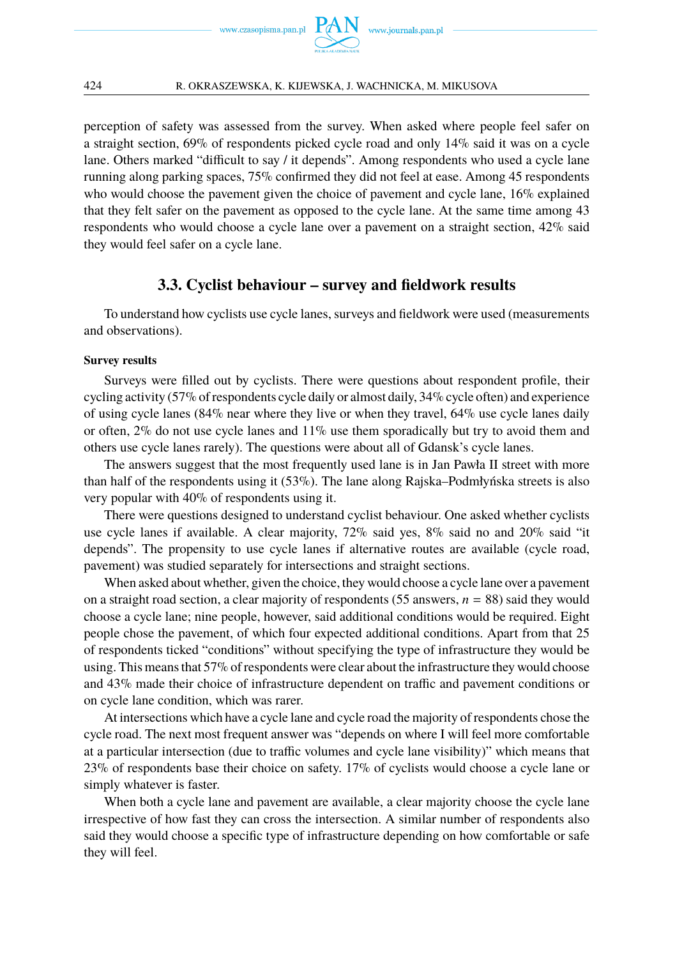

perception of safety was assessed from the survey. When asked where people feel safer on a straight section, 69% of respondents picked cycle road and only 14% said it was on a cycle lane. Others marked "difficult to say / it depends". Among respondents who used a cycle lane running along parking spaces, 75% confirmed they did not feel at ease. Among 45 respondents who would choose the pavement given the choice of pavement and cycle lane, 16% explained that they felt safer on the pavement as opposed to the cycle lane. At the same time among 43 respondents who would choose a cycle lane over a pavement on a straight section, 42% said they would feel safer on a cycle lane.

### **3.3. Cyclist behaviour – survey and fieldwork results**

To understand how cyclists use cycle lanes, surveys and fieldwork were used (measurements and observations).

### **Survey results**

Surveys were filled out by cyclists. There were questions about respondent profile, their cycling activity (57% of respondents cycle daily or almost daily, 34% cycle often) and experience of using cycle lanes (84% near where they live or when they travel, 64% use cycle lanes daily or often,  $2\%$  do not use cycle lanes and  $11\%$  use them sporadically but try to avoid them and others use cycle lanes rarely). The questions were about all of Gdansk's cycle lanes.

The answers suggest that the most frequently used lane is in Jan Pawła II street with more than half of the respondents using it (53%). The lane along Rajska–Podmłyńska streets is also very popular with 40% of respondents using it.

There were questions designed to understand cyclist behaviour. One asked whether cyclists use cycle lanes if available. A clear majority,  $72\%$  said yes,  $8\%$  said no and  $20\%$  said "it depends". The propensity to use cycle lanes if alternative routes are available (cycle road, pavement) was studied separately for intersections and straight sections.

When asked about whether, given the choice, they would choose a cycle lane over a pavement on a straight road section, a clear majority of respondents (55 answers, *n* = 88) said they would choose a cycle lane; nine people, however, said additional conditions would be required. Eight people chose the pavement, of which four expected additional conditions. Apart from that 25 of respondents ticked "conditions" without specifying the type of infrastructure they would be using. This means that 57% of respondents were clear about the infrastructure they would choose and 43% made their choice of infrastructure dependent on traffic and pavement conditions or on cycle lane condition, which was rarer.

At intersections which have a cycle lane and cycle road the majority of respondents chose the cycle road. The next most frequent answer was "depends on where I will feel more comfortable at a particular intersection (due to traffic volumes and cycle lane visibility)" which means that 23% of respondents base their choice on safety. 17% of cyclists would choose a cycle lane or simply whatever is faster.

When both a cycle lane and pavement are available, a clear majority choose the cycle lane irrespective of how fast they can cross the intersection. A similar number of respondents also said they would choose a specific type of infrastructure depending on how comfortable or safe they will feel.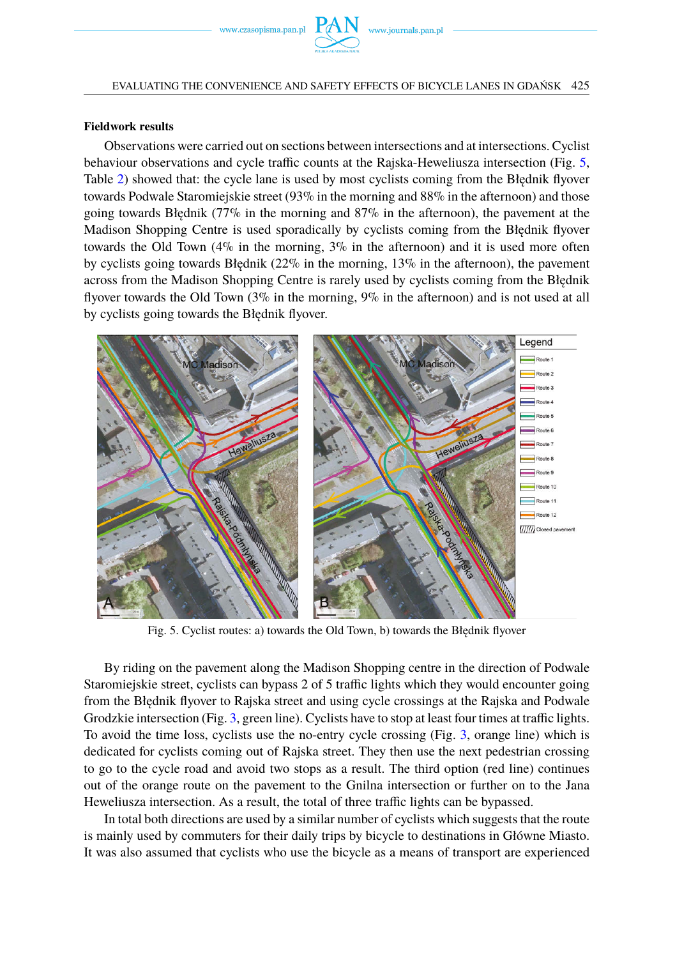

### **Fieldwork results**

Observations were carried out on sections between intersections and at intersections. Cyclist behaviour observations and cycle traffic counts at the Rajska-Heweliusza intersection (Fig. [5,](#page-10-0) Table [2\)](#page-11-0) showed that: the cycle lane is used by most cyclists coming from the Błędnik flyover towards Podwale Staromiejskie street (93% in the morning and 88% in the afternoon) and those going towards Błędnik (77% in the morning and 87% in the afternoon), the pavement at the Madison Shopping Centre is used sporadically by cyclists coming from the Błędnik flyover towards the Old Town  $(4\%$  in the morning,  $3\%$  in the afternoon) and it is used more often by cyclists going towards Błędnik ( $22\%$  in the morning,  $13\%$  in the afternoon), the pavement across from the Madison Shopping Centre is rarely used by cyclists coming from the Błędnik flyover towards the Old Town (3% in the morning, 9% in the afternoon) and is not used at all by cyclists going towards the Błędnik flyover.

<span id="page-10-0"></span>

Fig. 5. Cyclist routes: a) towards the Old Town, b) towards the Błędnik flyover

By riding on the pavement along the Madison Shopping centre in the direction of Podwale Staromiejskie street, cyclists can bypass 2 of 5 traffic lights which they would encounter going from the Błędnik flyover to Rajska street and using cycle crossings at the Rajska and Podwale Grodzkie intersection (Fig. [3,](#page-6-1) green line). Cyclists have to stop at least four times at traffic lights. To avoid the time loss, cyclists use the no-entry cycle crossing (Fig. [3,](#page-6-1) orange line) which is dedicated for cyclists coming out of Rajska street. They then use the next pedestrian crossing to go to the cycle road and avoid two stops as a result. The third option (red line) continues out of the orange route on the pavement to the Gnilna intersection or further on to the Jana Heweliusza intersection. As a result, the total of three traffic lights can be bypassed.

In total both directions are used by a similar number of cyclists which suggests that the route is mainly used by commuters for their daily trips by bicycle to destinations in Główne Miasto. It was also assumed that cyclists who use the bicycle as a means of transport are experienced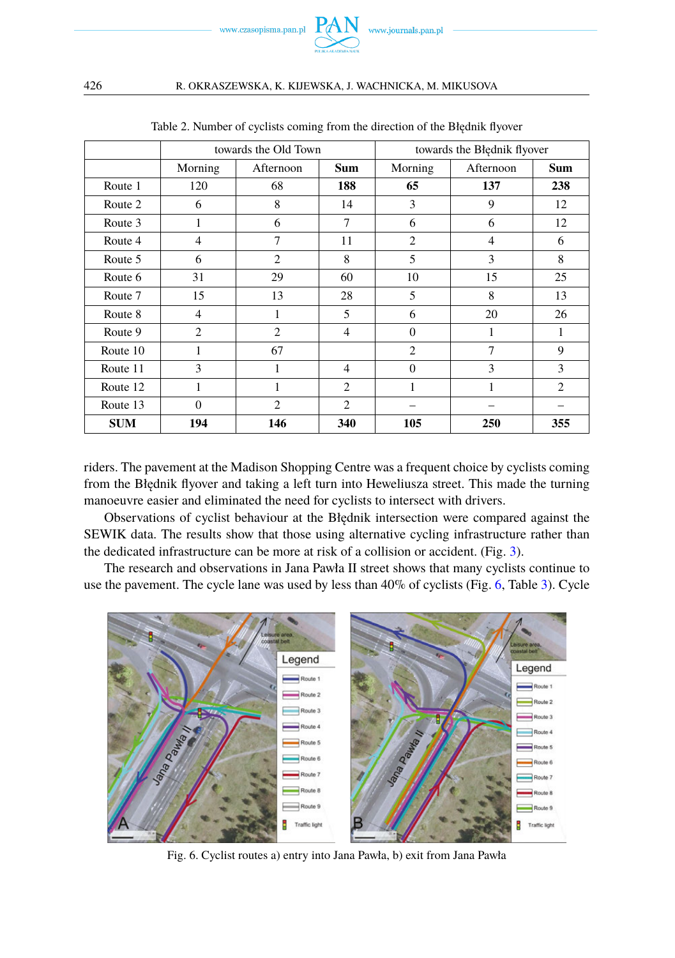

<span id="page-11-0"></span>

|            |                | towards the Old Town |                             | towards the Błędnik flyover |                |                             |  |
|------------|----------------|----------------------|-----------------------------|-----------------------------|----------------|-----------------------------|--|
|            | Morning        | Afternoon            | <b>Sum</b>                  | Morning                     | Afternoon      | Sum                         |  |
| Route 1    | 120            | 68                   | 188                         | 65                          | 137            | 238                         |  |
| Route 2    | 6              | 8                    | 14                          | 3                           | 9              | 12                          |  |
| Route 3    | 1              | 6                    | 7                           | 6                           | 6              | 12                          |  |
| Route 4    | $\overline{4}$ | 7                    | 11                          | $\overline{2}$              | $\overline{4}$ | 6                           |  |
| Route 5    | 6              | $\overline{2}$       | 8                           | 5                           | 3              | 8                           |  |
| Route 6    | 31             | 29                   | 60                          | 10                          | 15             | 25                          |  |
| Route 7    | 15             | 13                   | 28                          | 5                           | 8              | 13                          |  |
| Route 8    | 4              | 1                    | 5                           | 6                           | 20             | 26                          |  |
| Route 9    | $\mathcal{L}$  | $\mathcal{L}$        | $\overline{4}$              | $\Omega$                    | 1              | 1                           |  |
| Route 10   |                | 67                   |                             | $\overline{2}$              | 7              | 9                           |  |
| Route 11   | 3              | 1                    | 4                           | $\Omega$                    | 3              | 3                           |  |
| Route 12   | 1              | 1                    | $\mathcal{D}_{\mathcal{L}}$ | 1                           | 1              | $\mathcal{D}_{\mathcal{L}}$ |  |
| Route 13   | $\theta$       | $\overline{2}$       | $\mathcal{L}$               |                             |                |                             |  |
| <b>SUM</b> | 194            | 146                  | 340                         | 105                         | 250            | 355                         |  |

Table 2. Number of cyclists coming from the direction of the Błędnik flyover

riders. The pavement at the Madison Shopping Centre was a frequent choice by cyclists coming from the Błędnik flyover and taking a left turn into Heweliusza street. This made the turning manoeuvre easier and eliminated the need for cyclists to intersect with drivers.

Observations of cyclist behaviour at the Błędnik intersection were compared against the SEWIK data. The results show that those using alternative cycling infrastructure rather than the dedicated infrastructure can be more at risk of a collision or accident. (Fig. [3\)](#page-6-1).

The research and observations in Jana Pawła II street shows that many cyclists continue to use the pavement. The cycle lane was used by less than 40% of cyclists (Fig. [6,](#page-11-1) Table [3\)](#page-12-0). Cycle

<span id="page-11-1"></span>

Fig. 6. Cyclist routes a) entry into Jana Pawła, b) exit from Jana Pawła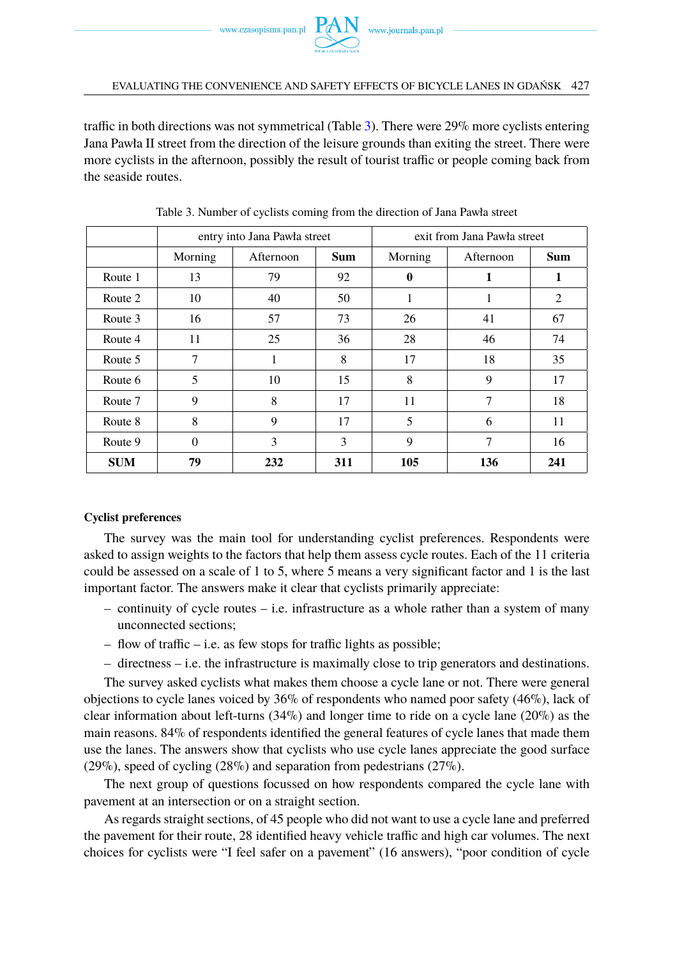

traffic in both directions was not symmetrical (Table [3\)](#page-12-0). There were 29% more cyclists entering Jana Pawła II street from the direction of the leisure grounds than exiting the street. There were more cyclists in the afternoon, possibly the result of tourist traffic or people coming back from the seaside routes.

<span id="page-12-0"></span>

|            |          | entry into Jana Pawła street |            | exit from Jana Pawła street |           |            |
|------------|----------|------------------------------|------------|-----------------------------|-----------|------------|
|            | Morning  | Afternoon                    | <b>Sum</b> | Morning                     | Afternoon | <b>Sum</b> |
| Route 1    | 13       | 79                           | 92         | $\mathbf 0$                 | 1         | 1          |
| Route 2    | 10       | 40                           | 50         | 1                           | 1         | 2          |
| Route 3    | 16       | 57                           | 73         | 26                          | 41        | 67         |
| Route 4    | 11       | 25                           | 36         | 28                          | 46        | 74         |
| Route 5    | 7        | 1                            | 8          | 17                          | 18        | 35         |
| Route 6    | 5        | 10                           | 15         | 8                           | 9         | 17         |
| Route 7    | 9        | 8                            | 17         | 11                          | 7         | 18         |
| Route 8    | 8        | 9                            | 17         | 5                           | 6         | 11         |
| Route 9    | $\Omega$ | 3                            | 3          | 9                           | 7         | 16         |
| <b>SUM</b> | 79       | 232                          | 311        | 105                         | 136       | 241        |

Table 3. Number of cyclists coming from the direction of Jana Pawła street

### **Cyclist preferences**

The survey was the main tool for understanding cyclist preferences. Respondents were asked to assign weights to the factors that help them assess cycle routes. Each of the 11 criteria could be assessed on a scale of 1 to 5, where 5 means a very significant factor and 1 is the last important factor. The answers make it clear that cyclists primarily appreciate:

- continuity of cycle routes i.e. infrastructure as a whole rather than a system of many unconnected sections;
- flow of traffic i.e. as few stops for traffic lights as possible;
- directness i.e. the infrastructure is maximally close to trip generators and destinations.

The survey asked cyclists what makes them choose a cycle lane or not. There were general objections to cycle lanes voiced by 36% of respondents who named poor safety (46%), lack of clear information about left-turns  $(34\%)$  and longer time to ride on a cycle lane  $(20\%)$  as the main reasons. 84% of respondents identified the general features of cycle lanes that made them use the lanes. The answers show that cyclists who use cycle lanes appreciate the good surface (29%), speed of cycling (28%) and separation from pedestrians (27%).

The next group of questions focussed on how respondents compared the cycle lane with pavement at an intersection or on a straight section.

As regards straight sections, of 45 people who did not want to use a cycle lane and preferred the pavement for their route, 28 identified heavy vehicle traffic and high car volumes. The next choices for cyclists were "I feel safer on a pavement" (16 answers), "poor condition of cycle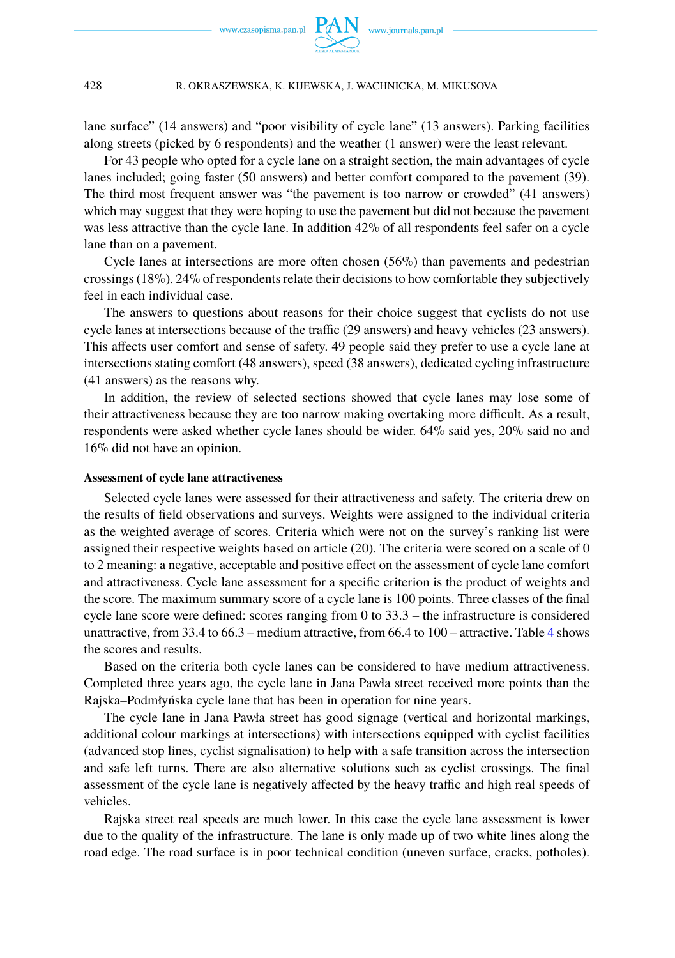

lane surface" (14 answers) and "poor visibility of cycle lane" (13 answers). Parking facilities along streets (picked by 6 respondents) and the weather (1 answer) were the least relevant.

For 43 people who opted for a cycle lane on a straight section, the main advantages of cycle lanes included; going faster (50 answers) and better comfort compared to the pavement (39). The third most frequent answer was "the pavement is too narrow or crowded" (41 answers) which may suggest that they were hoping to use the pavement but did not because the pavement was less attractive than the cycle lane. In addition 42% of all respondents feel safer on a cycle lane than on a pavement.

Cycle lanes at intersections are more often chosen (56%) than pavements and pedestrian crossings (18%). 24% of respondents relate their decisions to how comfortable they subjectively feel in each individual case.

The answers to questions about reasons for their choice suggest that cyclists do not use cycle lanes at intersections because of the traffic (29 answers) and heavy vehicles (23 answers). This affects user comfort and sense of safety. 49 people said they prefer to use a cycle lane at intersections stating comfort (48 answers), speed (38 answers), dedicated cycling infrastructure (41 answers) as the reasons why.

In addition, the review of selected sections showed that cycle lanes may lose some of their attractiveness because they are too narrow making overtaking more difficult. As a result, respondents were asked whether cycle lanes should be wider. 64% said yes, 20% said no and 16% did not have an opinion.

### **Assessment of cycle lane attractiveness**

Selected cycle lanes were assessed for their attractiveness and safety. The criteria drew on the results of field observations and surveys. Weights were assigned to the individual criteria as the weighted average of scores. Criteria which were not on the survey's ranking list were assigned their respective weights based on article (20). The criteria were scored on a scale of 0 to 2 meaning: a negative, acceptable and positive effect on the assessment of cycle lane comfort and attractiveness. Cycle lane assessment for a specific criterion is the product of weights and the score. The maximum summary score of a cycle lane is 100 points. Three classes of the final cycle lane score were defined: scores ranging from 0 to 33.3 – the infrastructure is considered unattractive, from 33.4 to 66.3 – medium attractive, from 66.4 to 100 – attractive. Table [4](#page-14-1) shows the scores and results.

Based on the criteria both cycle lanes can be considered to have medium attractiveness. Completed three years ago, the cycle lane in Jana Pawła street received more points than the Rajska–Podmłyńska cycle lane that has been in operation for nine years.

The cycle lane in Jana Pawła street has good signage (vertical and horizontal markings, additional colour markings at intersections) with intersections equipped with cyclist facilities (advanced stop lines, cyclist signalisation) to help with a safe transition across the intersection and safe left turns. There are also alternative solutions such as cyclist crossings. The final assessment of the cycle lane is negatively affected by the heavy traffic and high real speeds of vehicles.

Rajska street real speeds are much lower. In this case the cycle lane assessment is lower due to the quality of the infrastructure. The lane is only made up of two white lines along the road edge. The road surface is in poor technical condition (uneven surface, cracks, potholes).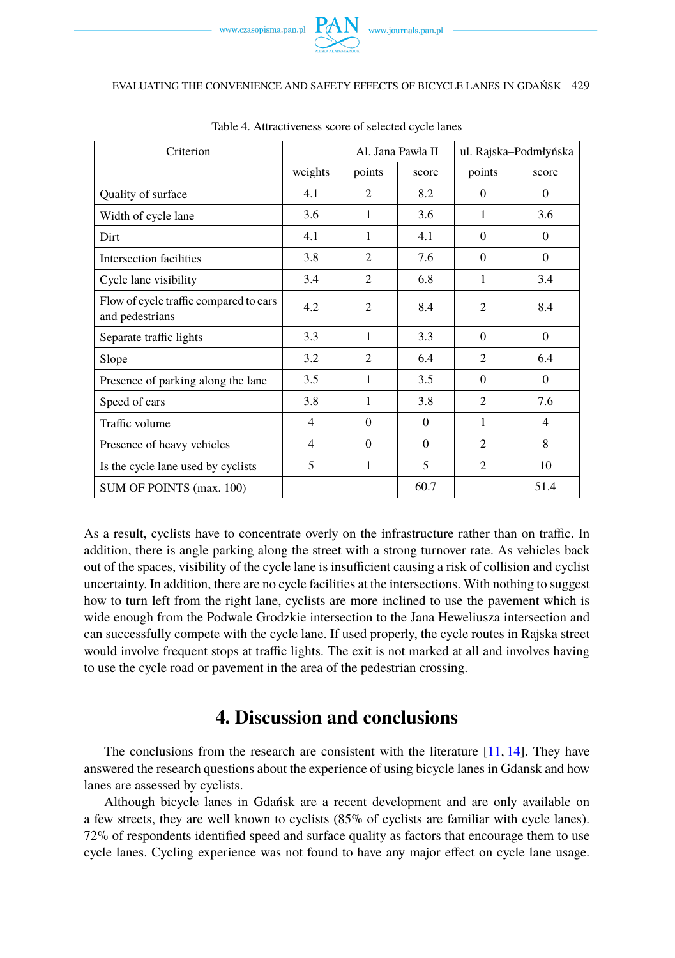

#### EVALUATING THE CONVENIENCE AND SAFETY EFFECTS OF BICYCLE LANES IN GDAŃSK 429

<span id="page-14-1"></span>

| Criterion                                                 |                | ul. Rajska-Podmłyńska<br>Al. Jana Pawła II |          |                |                |
|-----------------------------------------------------------|----------------|--------------------------------------------|----------|----------------|----------------|
|                                                           | weights        | points                                     | score    | points         | score          |
| Quality of surface                                        | 4.1            | $\overline{c}$                             | 8.2      | $\Omega$       | $\mathbf{0}$   |
| Width of cycle lane                                       | 3.6            | 1                                          | 3.6      | $\mathbf{1}$   | 3.6            |
| Dirt                                                      | 4.1            | 1                                          | 4.1      | $\Omega$       | $\Omega$       |
| Intersection facilities                                   | 3.8            | $\overline{2}$                             | 7.6      | $\Omega$       | $\theta$       |
| Cycle lane visibility                                     | 3.4            | $\overline{c}$                             | 6.8      | 1              | 3.4            |
| Flow of cycle traffic compared to cars<br>and pedestrians | 4.2            | $\overline{c}$                             | 8.4      | $\overline{c}$ | 8.4            |
| Separate traffic lights                                   | 3.3            | 1                                          | 3.3      | $\Omega$       | $\mathbf{0}$   |
| Slope                                                     | 3.2            | $\mathfrak{D}$                             | 6.4      | $\mathcal{L}$  | 6.4            |
| Presence of parking along the lane                        | 3.5            | 1                                          | 3.5      | $\Omega$       | $\Omega$       |
| Speed of cars                                             | 3.8            | 1                                          | 3.8      | $\mathcal{L}$  | 7.6            |
| Traffic volume                                            | $\overline{4}$ | $\Omega$                                   | $\Omega$ | 1              | $\overline{4}$ |
| Presence of heavy vehicles                                | 4              | $\Omega$                                   | $\Omega$ | $\overline{c}$ | 8              |
| Is the cycle lane used by cyclists                        | 5              | 1                                          | 5        | $\overline{2}$ | 10             |
| SUM OF POINTS (max. 100)                                  |                |                                            | 60.7     |                | 51.4           |

Table 4. Attractiveness score of selected cycle lanes

As a result, cyclists have to concentrate overly on the infrastructure rather than on traffic. In addition, there is angle parking along the street with a strong turnover rate. As vehicles back out of the spaces, visibility of the cycle lane is insufficient causing a risk of collision and cyclist uncertainty. In addition, there are no cycle facilities at the intersections. With nothing to suggest how to turn left from the right lane, cyclists are more inclined to use the pavement which is wide enough from the Podwale Grodzkie intersection to the Jana Heweliusza intersection and can successfully compete with the cycle lane. If used properly, the cycle routes in Rajska street would involve frequent stops at traffic lights. The exit is not marked at all and involves having to use the cycle road or pavement in the area of the pedestrian crossing.

# **4. Discussion and conclusions**

<span id="page-14-0"></span>The conclusions from the research are consistent with the literature  $[11, 14]$  $[11, 14]$  $[11, 14]$ . They have answered the research questions about the experience of using bicycle lanes in Gdansk and how lanes are assessed by cyclists.

Although bicycle lanes in Gdańsk are a recent development and are only available on a few streets, they are well known to cyclists (85% of cyclists are familiar with cycle lanes). 72% of respondents identified speed and surface quality as factors that encourage them to use cycle lanes. Cycling experience was not found to have any major effect on cycle lane usage.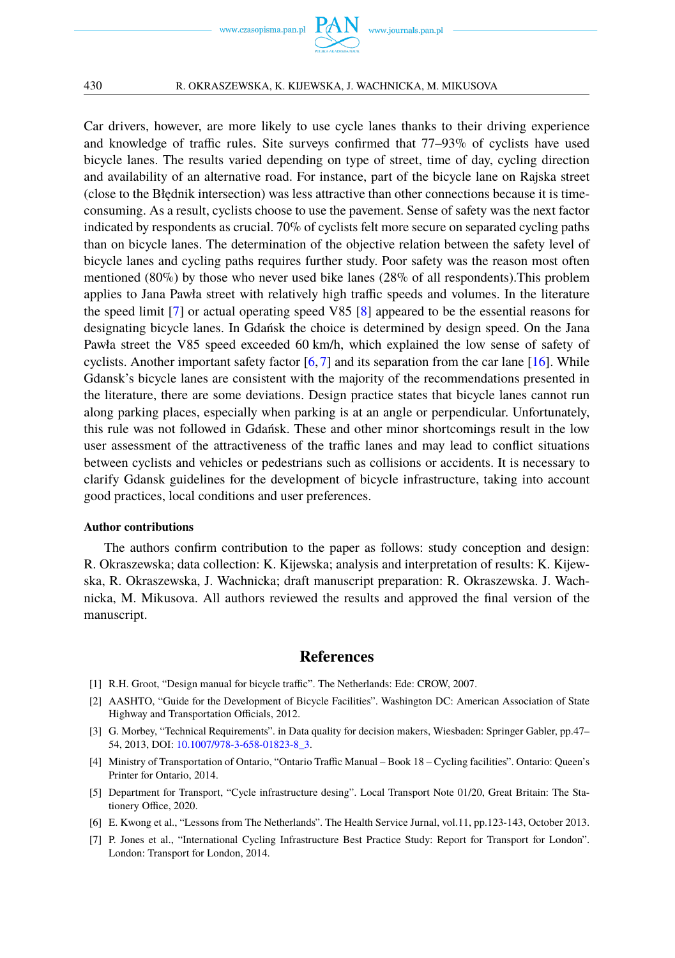

Car drivers, however, are more likely to use cycle lanes thanks to their driving experience and knowledge of traffic rules. Site surveys confirmed that 77–93% of cyclists have used bicycle lanes. The results varied depending on type of street, time of day, cycling direction and availability of an alternative road. For instance, part of the bicycle lane on Rajska street (close to the Błednik intersection) was less attractive than other connections because it is timeconsuming. As a result, cyclists choose to use the pavement. Sense of safety was the next factor indicated by respondents as crucial. 70% of cyclists felt more secure on separated cycling paths than on bicycle lanes. The determination of the objective relation between the safety level of bicycle lanes and cycling paths requires further study. Poor safety was the reason most often mentioned (80%) by those who never used bike lanes (28% of all respondents).This problem applies to Jana Pawła street with relatively high traffic speeds and volumes. In the literature the speed limit [\[7\]](#page-15-6) or actual operating speed V85 [\[8\]](#page-16-1) appeared to be the essential reasons for designating bicycle lanes. In Gdańsk the choice is determined by design speed. On the Jana Pawła street the V85 speed exceeded 60 km/h, which explained the low sense of safety of cyclists. Another important safety factor  $[6, 7]$  $[6, 7]$  $[6, 7]$  and its separation from the car lane  $[16]$ . While Gdansk's bicycle lanes are consistent with the majority of the recommendations presented in the literature, there are some deviations. Design practice states that bicycle lanes cannot run along parking places, especially when parking is at an angle or perpendicular. Unfortunately, this rule was not followed in Gdańsk. These and other minor shortcomings result in the low user assessment of the attractiveness of the traffic lanes and may lead to conflict situations between cyclists and vehicles or pedestrians such as collisions or accidents. It is necessary to clarify Gdansk guidelines for the development of bicycle infrastructure, taking into account good practices, local conditions and user preferences.

### **Author contributions**

The authors confirm contribution to the paper as follows: study conception and design: R. Okraszewska; data collection: K. Kijewska; analysis and interpretation of results: K. Kijewska, R. Okraszewska, J. Wachnicka; draft manuscript preparation: R. Okraszewska. J. Wachnicka, M. Mikusova. All authors reviewed the results and approved the final version of the manuscript.

### **References**

- <span id="page-15-0"></span>[1] R.H. Groot, "Design manual for bicycle traffic". The Netherlands: Ede: CROW, 2007.
- <span id="page-15-1"></span>[2] AASHTO, "Guide for the Development of Bicycle Facilities". Washington DC: American Association of State Highway and Transportation Officials, 2012.
- <span id="page-15-2"></span>[3] G. Morbey, "Technical Requirements". in Data quality for decision makers, Wiesbaden: Springer Gabler, pp.47– 54, 2013, DOI: [10.1007/978-3-658-01823-8\\_3.](https://doi.org/10.1007/978-3-658-01823-8_3)
- <span id="page-15-3"></span>[4] Ministry of Transportation of Ontario, "Ontario Traffic Manual – Book 18 – Cycling facilities". Ontario: Queen's Printer for Ontario, 2014.
- <span id="page-15-4"></span>[5] Department for Transport, "Cycle infrastructure desing". Local Transport Note 01/20, Great Britain: The Stationery Office, 2020.
- <span id="page-15-5"></span>[6] E. Kwong et al., "Lessons from The Netherlands". The Health Service Jurnal, vol.11, pp.123-143, October 2013.
- <span id="page-15-6"></span>[7] P. Jones et al., "International Cycling Infrastructure Best Practice Study: Report for Transport for London". London: Transport for London, 2014.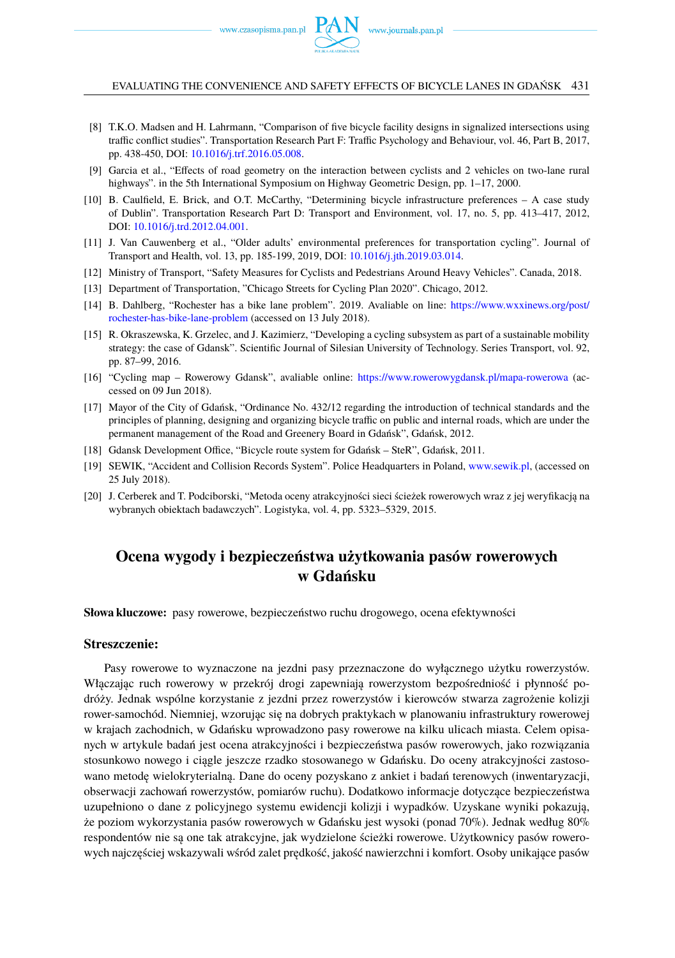www.czasopisma.pan.pl  $P_{\bigwedge}$ 

EVALUATING THE CONVENIENCE AND SAFETY EFFECTS OF BICYCLE LANES IN GDAŃSK 431

- <span id="page-16-1"></span>[8] T.K.O. Madsen and H. Lahrmann, "Comparison of five bicycle facility designs in signalized intersections using traffic conflict studies". Transportation Research Part F: Traffic Psychology and Behaviour, vol. 46, Part B, 2017, pp. 438-450, DOI: [10.1016/j.trf.2016.05.008.](https://doi.org/10.1016/j.trf.2016.05.008)
- <span id="page-16-2"></span>[9] Garcia et al., "Effects of road geometry on the interaction between cyclists and 2 vehicles on two-lane rural highways". in the 5th International Symposium on Highway Geometric Design, pp. 1–17, 2000.
- <span id="page-16-3"></span>[10] B. Caulfield, E. Brick, and O.T. McCarthy, "Determining bicycle infrastructure preferences – A case study of Dublin". Transportation Research Part D: Transport and Environment, vol. 17, no. 5, pp. 413–417, 2012, DOI: [10.1016/j.trd.2012.04.001.](https://doi.org/10.1016/j.trd.2012.04.001)
- <span id="page-16-4"></span>[11] J. Van Cauwenberg et al., "Older adults' environmental preferences for transportation cycling". Journal of Transport and Health, vol. 13, pp. 185-199, 2019, DOI: [10.1016/j.jth.2019.03.014.](https://doi.org/10.1016/j.jth.2019.03.014)
- <span id="page-16-5"></span>[12] Ministry of Transport, "Safety Measures for Cyclists and Pedestrians Around Heavy Vehicles". Canada, 2018.
- <span id="page-16-6"></span>[13] Department of Transportation, "Chicago Streets for Cycling Plan 2020". Chicago, 2012.
- <span id="page-16-7"></span>[14] B. Dahlberg, "Rochester has a bike lane problem". 2019. Avaliable on line: [https://www.wxxinews.org/post/](https://www.wxxinews.org/post/rochester-has-bike-lane-problem) [rochester-has-bike-lane-problem](https://www.wxxinews.org/post/rochester-has-bike-lane-problem) (accessed on 13 July 2018).
- <span id="page-16-8"></span>[15] R. Okraszewska, K. Grzelec, and J. Kazimierz, "Developing a cycling subsystem as part of a sustainable mobility strategy: the case of Gdansk". Scientific Journal of Silesian University of Technology. Series Transport, vol. 92, pp. 87–99, 2016.
- <span id="page-16-9"></span>[16] "Cycling map – Rowerowy Gdansk", avaliable online: <https://www.rowerowygdansk.pl/mapa-rowerowa> (accessed on 09 Jun 2018).
- <span id="page-16-10"></span>[17] Mayor of the City of Gdańsk, "Ordinance No. 432/12 regarding the introduction of technical standards and the principles of planning, designing and organizing bicycle traffic on public and internal roads, which are under the permanent management of the Road and Greenery Board in Gdańsk", Gdańsk, 2012.
- <span id="page-16-11"></span>[18] Gdansk Development Office, "Bicycle route system for Gdańsk – SteR", Gdańsk, 2011.
- <span id="page-16-12"></span>[19] SEWIK, "Accident and Collision Records System". Police Headquarters in Poland, [www.sewik.pl,](www.sewik.pl) (accessed on 25 July 2018).
- [20] J. Cerberek and T. Podciborski, "Metoda oceny atrakcyjności sieci ścieżek rowerowych wraz z jej weryfikacją na wybranych obiektach badawczych". Logistyka, vol. 4, pp. 5323–5329, 2015.

## <span id="page-16-0"></span>**Ocena wygody i bezpieczeństwa użytkowania pasów rowerowych w Gdańsku**

**Słowa kluczowe:** pasy rowerowe, bezpieczeństwo ruchu drogowego, ocena efektywności

### **Streszczenie:**

Pasy rowerowe to wyznaczone na jezdni pasy przeznaczone do wyłącznego użytku rowerzystów. Włączając ruch rowerowy w przekrój drogi zapewniają rowerzystom bezpośredniość i płynność podróży. Jednak wspólne korzystanie z jezdni przez rowerzystów i kierowców stwarza zagrożenie kolizji rower-samochód. Niemniej, wzorując się na dobrych praktykach w planowaniu infrastruktury rowerowej w krajach zachodnich, w Gdańsku wprowadzono pasy rowerowe na kilku ulicach miasta. Celem opisanych w artykule badań jest ocena atrakcyjności i bezpieczeństwa pasów rowerowych, jako rozwiązania stosunkowo nowego i ciągle jeszcze rzadko stosowanego w Gdańsku. Do oceny atrakcyjności zastosowano metode wielokryterialna. Dane do oceny pozyskano z ankiet i badań terenowych (inwentaryzacji, obserwacji zachowań rowerzystów, pomiarów ruchu). Dodatkowo informacje dotyczące bezpieczeństwa uzupełniono o dane z policyjnego systemu ewidencji kolizji i wypadków. Uzyskane wyniki pokazują, że poziom wykorzystania pasów rowerowych w Gdańsku jest wysoki (ponad 70%). Jednak według 80% respondentów nie są one tak atrakcyjne, jak wydzielone ścieżki rowerowe. Użytkownicy pasów rowerowych najczęściej wskazywali wśród zalet prędkość, jakość nawierzchni i komfort. Osoby unikające pasów